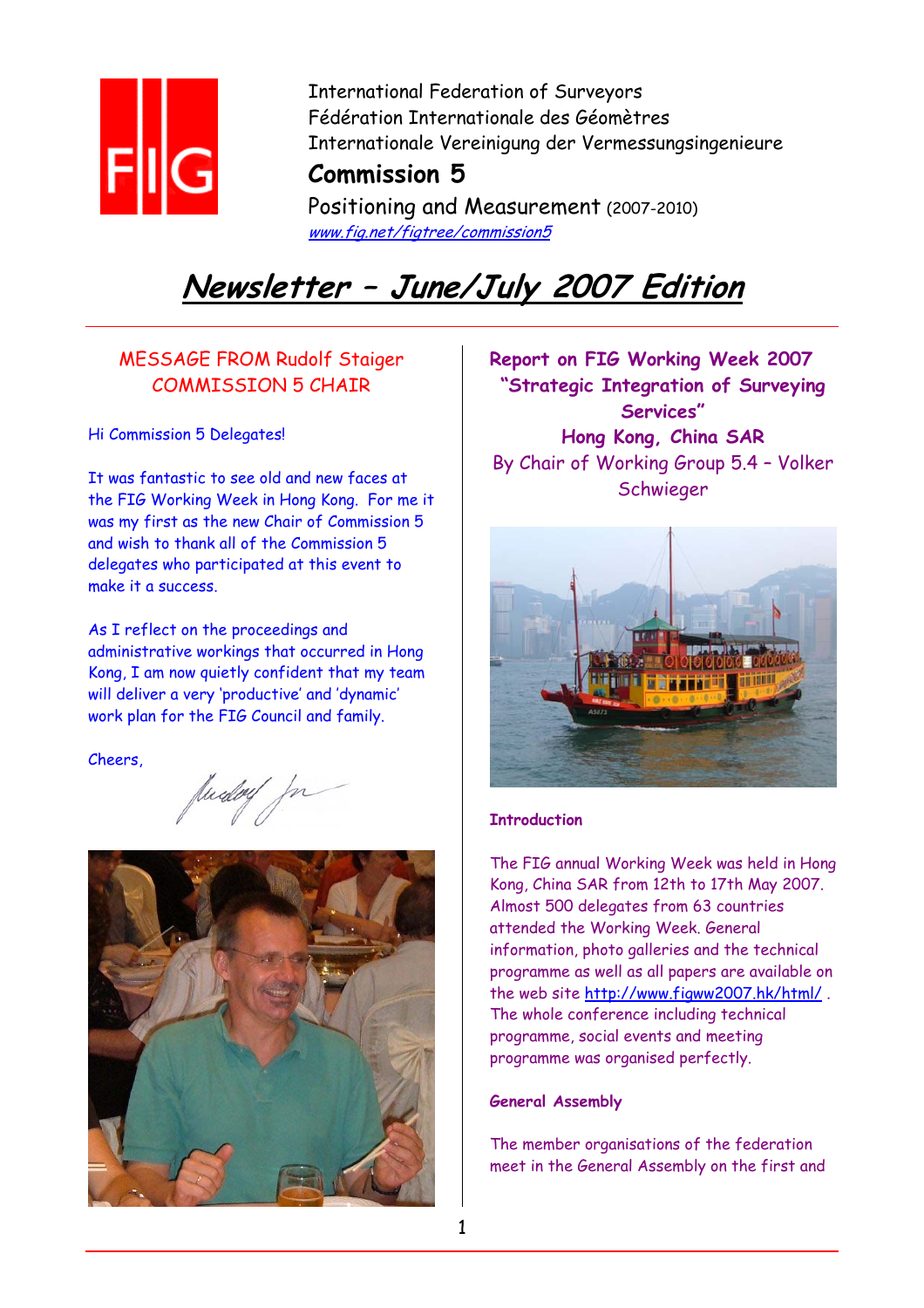

International Federation of Surveyors Fédération Internationale des Géomètres Internationale Vereinigung der Vermessungsingenieure

### **Commission 5**

Positioning and Measurement (2007-2010) www.fig.net/figtree/commission5

# **Newsletter – June/July 2007 Edition**

### MESSAGE FROM Rudolf Staiger COMMISSION 5 CHAIR

Hi Commission 5 Delegates!

It was fantastic to see old and new faces at the FIG Working Week in Hong Kong. For me it was my first as the new Chair of Commission 5 and wish to thank all of the Commission 5 delegates who participated at this event to make it a success.

As I reflect on the proceedings and administrative workings that occurred in Hong Kong, I am now quietly confident that my team will deliver a very 'productive' and 'dynamic' work plan for the FIG Council and family.

Cheers,



**Report on FIG Working Week 2007 "Strategic Integration of Surveying Services" Hong Kong, China SAR**  By Chair of Working Group 5.4 – Volker Schwieger



#### **Introduction**

The FIG annual Working Week was held in Hong Kong, China SAR from 12th to 17th May 2007. Almost 500 delegates from 63 countries attended the Working Week. General information, photo galleries and the technical programme as well as all papers are available on the web site http://www.figww2007.hk/html/ . The whole conference including technical programme, social events and meeting programme was organised perfectly.

#### **General Assembly**

The member organisations of the federation meet in the General Assembly on the first and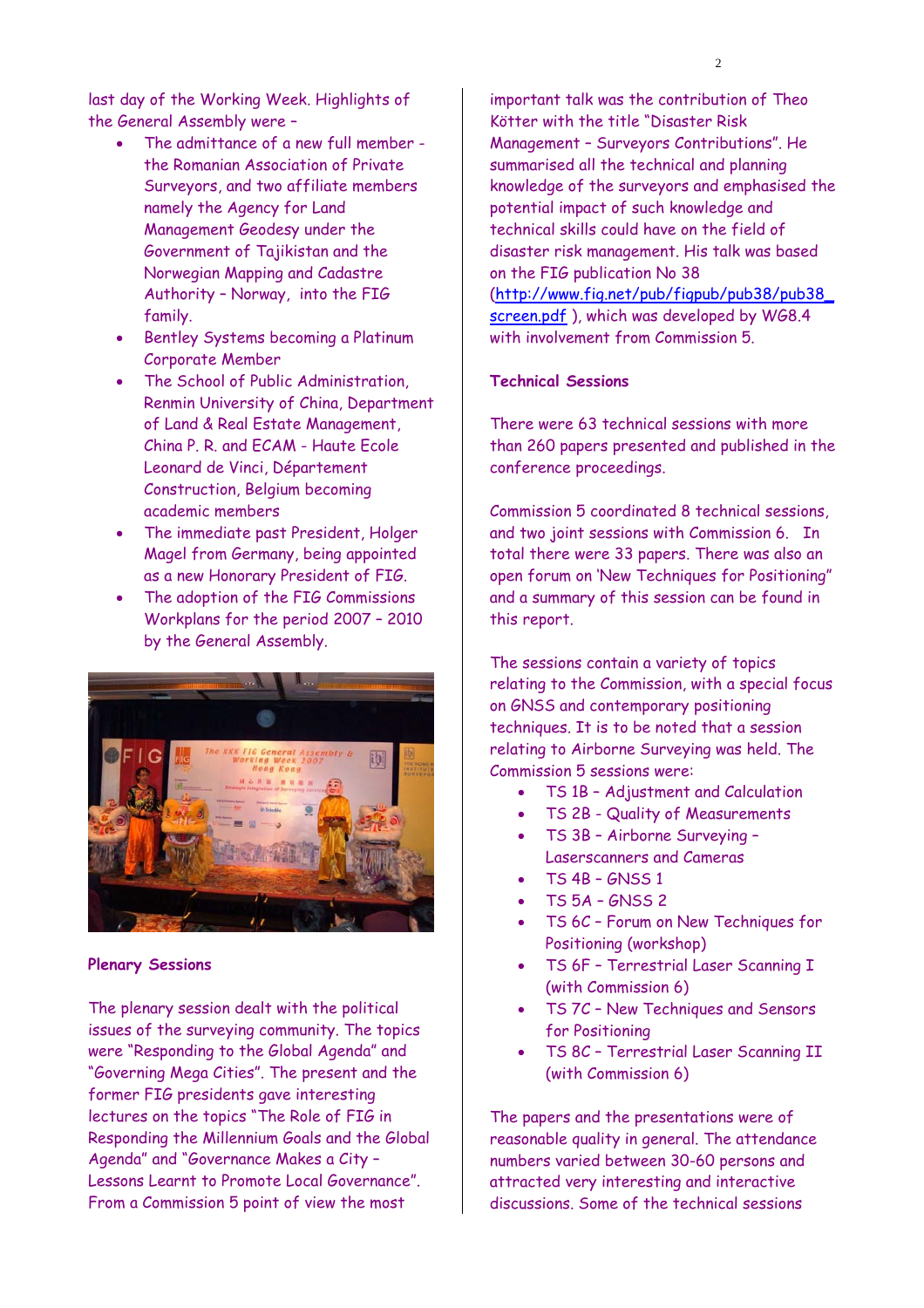last day of the Working Week. Highlights of the General Assembly were –

- The admittance of a new full member the Romanian Association of Private Surveyors, and two affiliate members namely the Agency for Land Management Geodesy under the Government of Tajikistan and the Norwegian Mapping and Cadastre Authority – Norway, into the FIG family.
- Bentley Systems becoming a Platinum Corporate Member
- The School of Public Administration, Renmin University of China, Department of Land & Real Estate Management, China P. R. and ECAM - Haute Ecole Leonard de Vinci, Département Construction, Belgium becoming academic members
- The immediate past President, Holger Magel from Germany, being appointed as a new Honorary President of FIG.
- The adoption of the FIG Commissions Workplans for the period 2007 – 2010 by the General Assembly.



#### **Plenary Sessions**

The plenary session dealt with the political issues of the surveying community. The topics were "Responding to the Global Agenda" and "Governing Mega Cities". The present and the former FIG presidents gave interesting lectures on the topics "The Role of FIG in Responding the Millennium Goals and the Global Agenda" and "Governance Makes a City – Lessons Learnt to Promote Local Governance". From a Commission 5 point of view the most

important talk was the contribution of Theo Kötter with the title "Disaster Risk Management – Surveyors Contributions". He summarised all the technical and planning knowledge of the surveyors and emphasised the potential impact of such knowledge and technical skills could have on the field of disaster risk management. His talk was based on the FIG publication No 38 (http://www.fig.net/pub/figpub/pub38/pub38\_ screen.pdf), which was developed by WG8.4 with involvement from Commission 5.

#### **Technical Sessions**

There were 63 technical sessions with more than 260 papers presented and published in the conference proceedings.

Commission 5 coordinated 8 technical sessions, and two joint sessions with Commission 6. In total there were 33 papers. There was also an open forum on 'New Techniques for Positioning" and a summary of this session can be found in this report.

The sessions contain a variety of topics relating to the Commission, with a special focus on GNSS and contemporary positioning techniques. It is to be noted that a session relating to Airborne Surveying was held. The Commission 5 sessions were:

- TS 1B Adjustment and Calculation
- TS 2B Quality of Measurements
- TS 3B Airborne Surveying Laserscanners and Cameras
- TS 4B GNSS 1
- TS 5A GNSS 2
- TS 6C Forum on New Techniques for Positioning (workshop)
- TS 6F Terrestrial Laser Scanning I (with Commission 6)
- TS 7C New Techniques and Sensors for Positioning
- TS 8C Terrestrial Laser Scanning II (with Commission 6)

The papers and the presentations were of reasonable quality in general. The attendance numbers varied between 30-60 persons and attracted very interesting and interactive discussions. Some of the technical sessions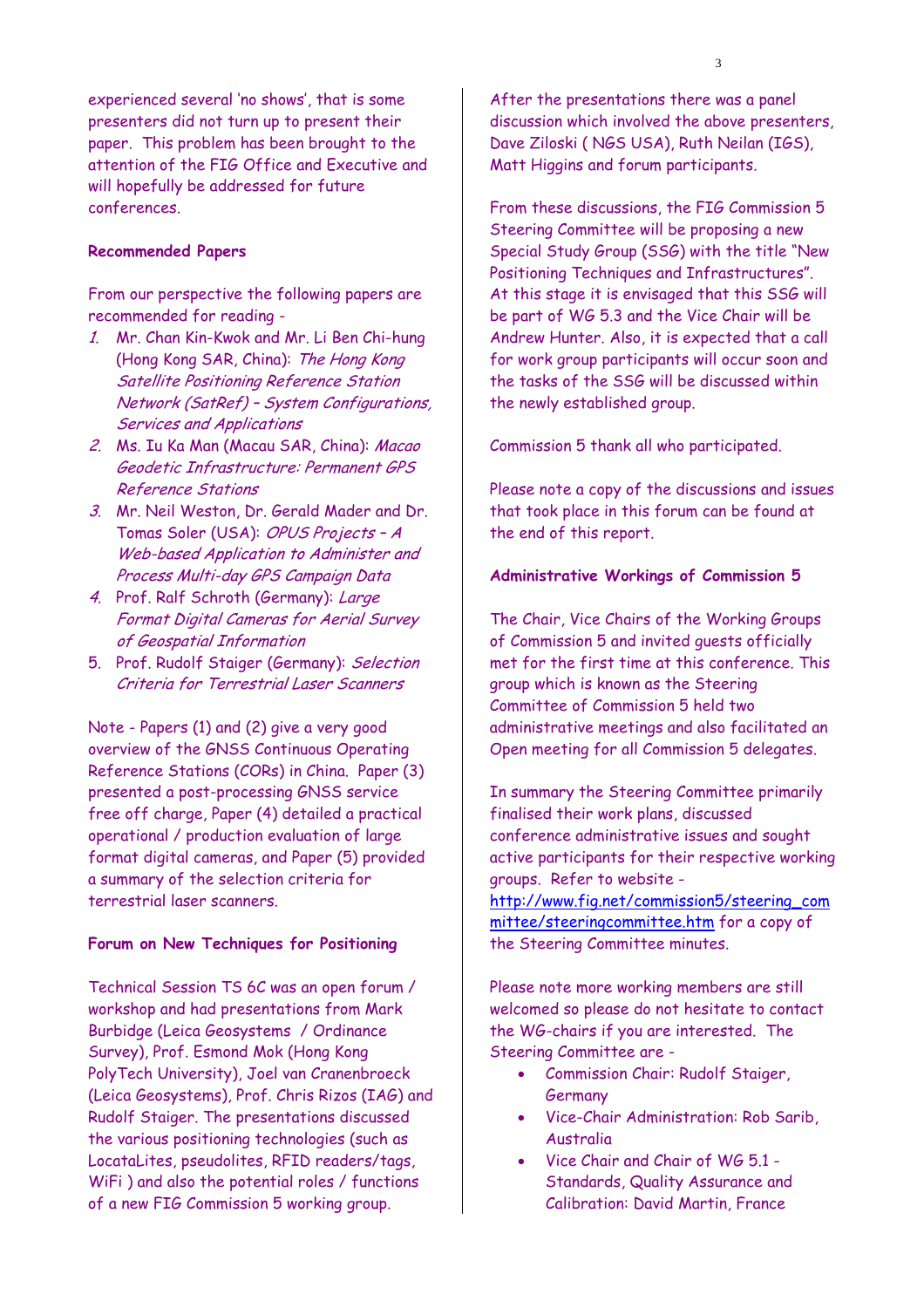experienced several 'no shows', that is some presenters did not turn up to present their paper. This problem has been brought to the attention of the FIG Office and Executive and will hopefully be addressed for future conferences.

#### **Recommended Papers**

From our perspective the following papers are recommended for reading -

- 1. Mr. Chan Kin-Kwok and Mr. Li Ben Chi-hung (Hong Kong SAR, China): The Hong Kong Satellite Positioning Reference Station Network (SatRef) – System Configurations, Services and Applications
- 2. Ms. Iu Ka Man (Macau SAR, China): Macao Geodetic Infrastructure: Permanent GPS Reference Stations
- 3. Mr. Neil Weston, Dr. Gerald Mader and Dr. Tomas Soler (USA): OPUS Projects – A Web-based Application to Administer and Process Multi-day GPS Campaign Data
- 4. Prof. Ralf Schroth (Germany): Large Format Digital Cameras for Aerial Survey of Geospatial Information
- 5. Prof. Rudolf Staiger (Germany): Selection Criteria for Terrestrial Laser Scanners

Note - Papers (1) and (2) give a very good overview of the GNSS Continuous Operating Reference Stations (CORs) in China. Paper (3) presented a post-processing GNSS service free off charge, Paper (4) detailed a practical operational / production evaluation of large format digital cameras, and Paper (5) provided a summary of the selection criteria for terrestrial laser scanners.

#### **Forum on New Techniques for Positioning**

Technical Session TS 6C was an open forum / workshop and had presentations from Mark Burbidge (Leica Geosystems / Ordinance Survey), Prof. Esmond Mok (Hong Kong PolyTech University), Joel van Cranenbroeck (Leica Geosystems), Prof. Chris Rizos (IAG) and Rudolf Staiger. The presentations discussed the various positioning technologies (such as LocataLites, pseudolites, RFID readers/tags, WiFi ) and also the potential roles / functions of a new FIG Commission 5 working group.

After the presentations there was a panel discussion which involved the above presenters, Dave Ziloski ( NGS USA), Ruth Neilan (IGS), Matt Higgins and forum participants.

From these discussions, the FIG Commission 5 Steering Committee will be proposing a new Special Study Group (SSG) with the title "New Positioning Techniques and Infrastructures". At this stage it is envisaged that this SSG will be part of WG 5.3 and the Vice Chair will be Andrew Hunter. Also, it is expected that a call for work group participants will occur soon and the tasks of the SSG will be discussed within the newly established group.

Commission 5 thank all who participated.

Please note a copy of the discussions and issues that took place in this forum can be found at the end of this report.

#### **Administrative Workings of Commission 5**

The Chair, Vice Chairs of the Working Groups of Commission 5 and invited guests officially met for the first time at this conference. This group which is known as the Steering Committee of Commission 5 held two administrative meetings and also facilitated an Open meeting for all Commission 5 delegates.

In summary the Steering Committee primarily finalised their work plans, discussed conference administrative issues and sought active participants for their respective working groups. Refer to website -

http://www.fig.net/commission5/steering\_com mittee/steeringcommittee.htm for a copy of the Steering Committee minutes.

Please note more working members are still welcomed so please do not hesitate to contact the WG-chairs if you are interested. The Steering Committee are -

- Commission Chair: Rudolf Staiger, **Germany**
- Vice-Chair Administration: Rob Sarib, Australia
- Vice Chair and Chair of WG 5.1 Standards, Quality Assurance and Calibration: David Martin, France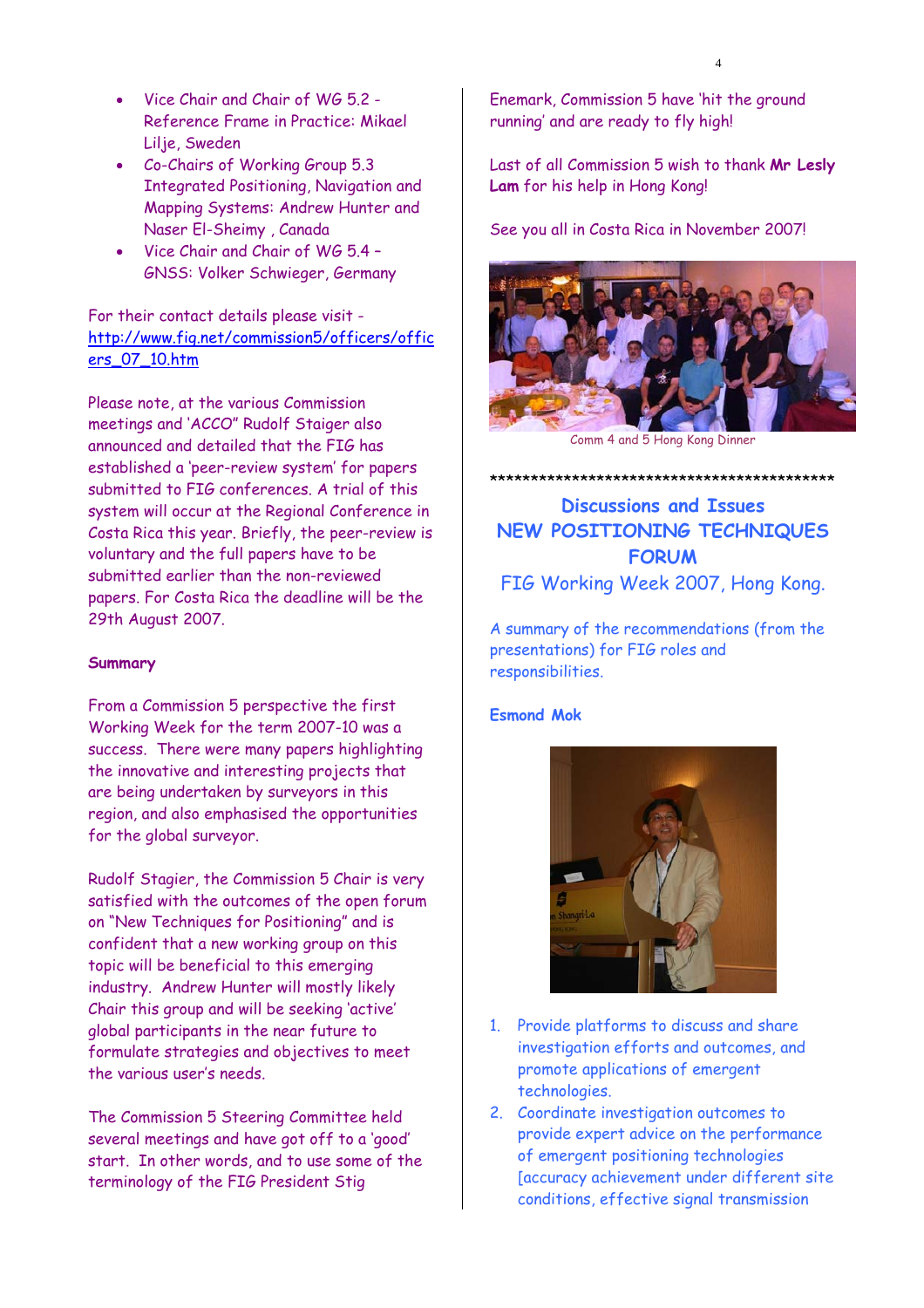- Vice Chair and Chair of WG 5.2 -Reference Frame in Practice: Mikael Lilje, Sweden
- Co-Chairs of Working Group 5.3 Integrated Positioning, Navigation and Mapping Systems: Andrew Hunter and Naser El-Sheimy , Canada
- Vice Chair and Chair of WG 5.4 GNSS: Volker Schwieger, Germany

#### For their contact details please visit http://www.fig.net/commission5/officers/offic ers\_07\_10.htm

Please note, at the various Commission meetings and 'ACCO" Rudolf Staiger also announced and detailed that the FIG has established a 'peer-review system' for papers submitted to FIG conferences. A trial of this system will occur at the Regional Conference in Costa Rica this year. Briefly, the peer-review is voluntary and the full papers have to be submitted earlier than the non-reviewed papers. For Costa Rica the deadline will be the 29th August 2007.

#### **Summary**

From a Commission 5 perspective the first Working Week for the term 2007-10 was a success. There were many papers highlighting the innovative and interesting projects that are being undertaken by surveyors in this region, and also emphasised the opportunities for the global surveyor.

Rudolf Stagier, the Commission 5 Chair is very satisfied with the outcomes of the open forum on "New Techniques for Positioning" and is confident that a new working group on this topic will be beneficial to this emerging industry. Andrew Hunter will mostly likely Chair this group and will be seeking 'active' global participants in the near future to formulate strategies and objectives to meet the various user's needs.

The Commission 5 Steering Committee held several meetings and have got off to a 'good' start. In other words, and to use some of the terminology of the FIG President Stig

Enemark, Commission 5 have 'hit the ground running' and are ready to fly high!

Last of all Commission 5 wish to thank **Mr Lesly Lam** for his help in Hong Kong!

See you all in Costa Rica in November 2007!



Comm 4 and 5 Hong Kong Dinner

\*\*\*\*\*\*\*\*\*\*\*\*\*\*\*\*\*\*\*\*\*\*\*\*\*\*\*\*\*\*\*\*\*\*\*\*\*\*\*\*\*\*

**Discussions and Issues NEW POSITIONING TECHNIQUES FORUM**  FIG Working Week 2007, Hong Kong.

A summary of the recommendations (from the presentations) for FIG roles and responsibilities.

#### **Esmond Mok**



- 1. Provide platforms to discuss and share investigation efforts and outcomes, and promote applications of emergent technologies.
- 2. Coordinate investigation outcomes to provide expert advice on the performance of emergent positioning technologies [accuracy achievement under different site conditions, effective signal transmission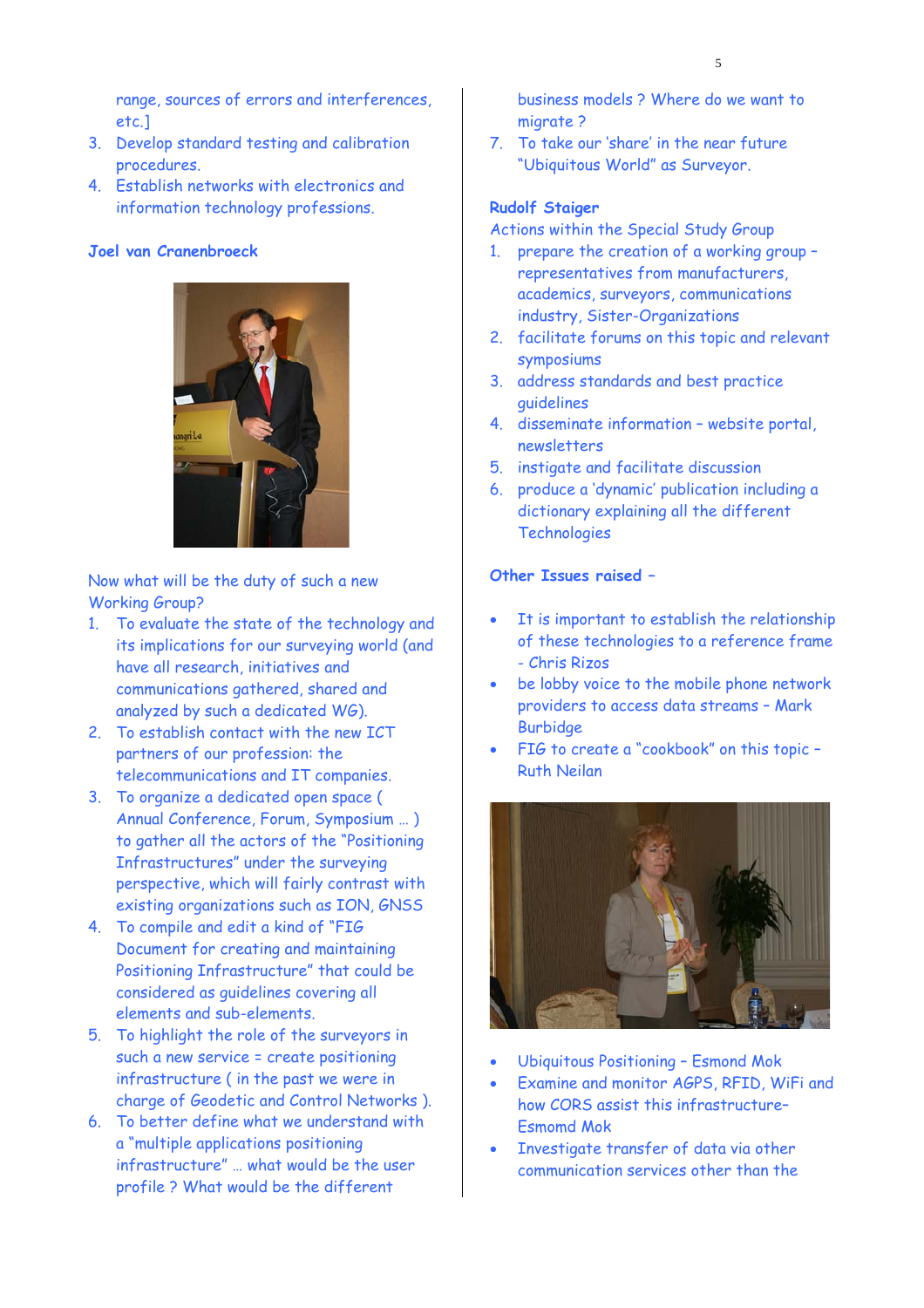range, sources of errors and interferences, etc.]

 $\sim$  5

- 3. Develop standard testing and calibration procedures.
- 4. Establish networks with electronics and information technology professions.

#### **Joel van Cranenbroeck**



Now what will be the duty of such a new Working Group?

- 1. To evaluate the state of the technology and its implications for our surveying world (and have all research, initiatives and communications gathered, shared and analyzed by such a dedicated WG).
- 2. To establish contact with the new ICT partners of our profession: the telecommunications and IT companies.
- 3. To organize a dedicated open space ( Annual Conference, Forum, Symposium … ) to gather all the actors of the "Positioning Infrastructures" under the surveying perspective, which will fairly contrast with existing organizations such as ION, GNSS
- 4. To compile and edit a kind of "FIG Document for creating and maintaining Positioning Infrastructure" that could be considered as guidelines covering all elements and sub-elements.
- 5. To highlight the role of the surveyors in such a new service = create positioning infrastructure ( in the past we were in charge of Geodetic and Control Networks ).
- 6. To better define what we understand with a "multiple applications positioning infrastructure" … what would be the user profile ? What would be the different

business models ? Where do we want to migrate ?

7. To take our 'share' in the near future "Ubiquitous World" as Surveyor.

#### **Rudolf Staiger**

Actions within the Special Study Group

- 1. prepare the creation of a working group representatives from manufacturers, academics, surveyors, communications industry, Sister-Organizations
- 2. facilitate forums on this topic and relevant symposiums
- 3. address standards and best practice guidelines
- 4. disseminate information website portal, newsletters
- 5. instigate and facilitate discussion
- 6. produce a 'dynamic' publication including a dictionary explaining all the different **Technologies**

#### **Other Issues raised –**

- It is important to establish the relationship of these technologies to a reference frame - Chris Rizos
- be lobby voice to the mobile phone network providers to access data streams – Mark **Burbidge**
- FIG to create a "cookbook" on this topic Ruth Neilan



- Ubiquitous Positioning Esmond Mok
- Examine and monitor AGPS, RFID, WiFi and how CORS assist this infrastructure– Esmomd Mok
- Investigate transfer of data via other communication services other than the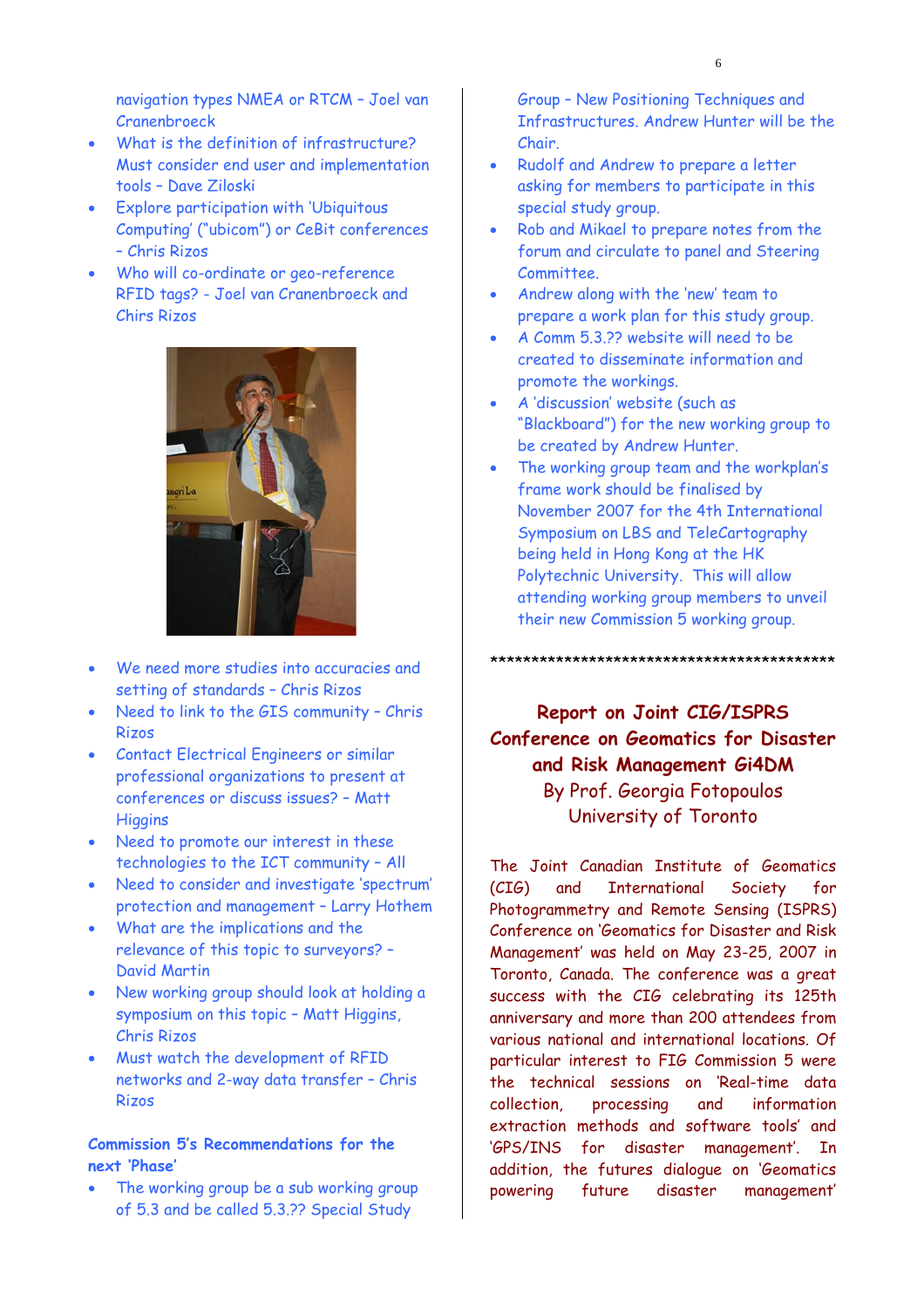navigation types NMEA or RTCM – Joel van Cranenbroeck

- What is the definition of infrastructure? Must consider end user and implementation tools – Dave Ziloski
- Explore participation with 'Ubiquitous Computing' ("ubicom") or CeBit conferences – Chris Rizos
- Who will co-ordinate or geo-reference RFID tags? - Joel van Cranenbroeck and Chirs Rizos



- We need more studies into accuracies and setting of standards – Chris Rizos
- Need to link to the GIS community Chris Rizos
- Contact Electrical Engineers or similar professional organizations to present at conferences or discuss issues? – Matt **Higgins**
- Need to promote our interest in these technologies to the ICT community – All
- Need to consider and investigate 'spectrum' protection and management – Larry Hothem
- What are the implications and the relevance of this topic to surveyors? – David Martin
- New working group should look at holding a symposium on this topic – Matt Higgins, Chris Rizos
- Must watch the development of RFID networks and 2-way data transfer – Chris Rizos

#### **Commission 5's Recommendations for the next 'Phase'**

The working group be a sub working group of 5.3 and be called 5.3.?? Special Study

Group – New Positioning Techniques and Infrastructures. Andrew Hunter will be the Chair.

- Rudolf and Andrew to prepare a letter asking for members to participate in this special study group.
- Rob and Mikael to prepare notes from the forum and circulate to panel and Steering Committee.
- Andrew along with the 'new' team to prepare a work plan for this study group.
- A Comm 5.3.?? website will need to be created to disseminate information and promote the workings.
- A 'discussion' website (such as "Blackboard") for the new working group to be created by Andrew Hunter.
- The working group team and the workplan's frame work should be finalised by November 2007 for the 4th International Symposium on LBS and TeleCartography being held in Hong Kong at the HK Polytechnic University. This will allow attending working group members to unveil their new Commission 5 working group.

\*\*\*\*\*\*\*\*\*\*\*\*\*\*\*\*\*\*\*\*\*\*\*\*\*\*\*\*\*\*\*\*\*\*\*\*\*\*\*\*\*\*

### **Report on Joint CIG/ISPRS Conference on Geomatics for Disaster and Risk Management Gi4DM**  By Prof. Georgia Fotopoulos University of Toronto

The Joint Canadian Institute of Geomatics (CIG) and International Society for Photogrammetry and Remote Sensing (ISPRS) Conference on 'Geomatics for Disaster and Risk Management' was held on May 23-25, 2007 in Toronto, Canada. The conference was a great success with the CIG celebrating its 125th anniversary and more than 200 attendees from various national and international locations. Of particular interest to FIG Commission 5 were the technical sessions on 'Real-time data collection, processing and information extraction methods and software tools' and 'GPS/INS for disaster management'. In addition, the futures dialogue on 'Geomatics powering future disaster management'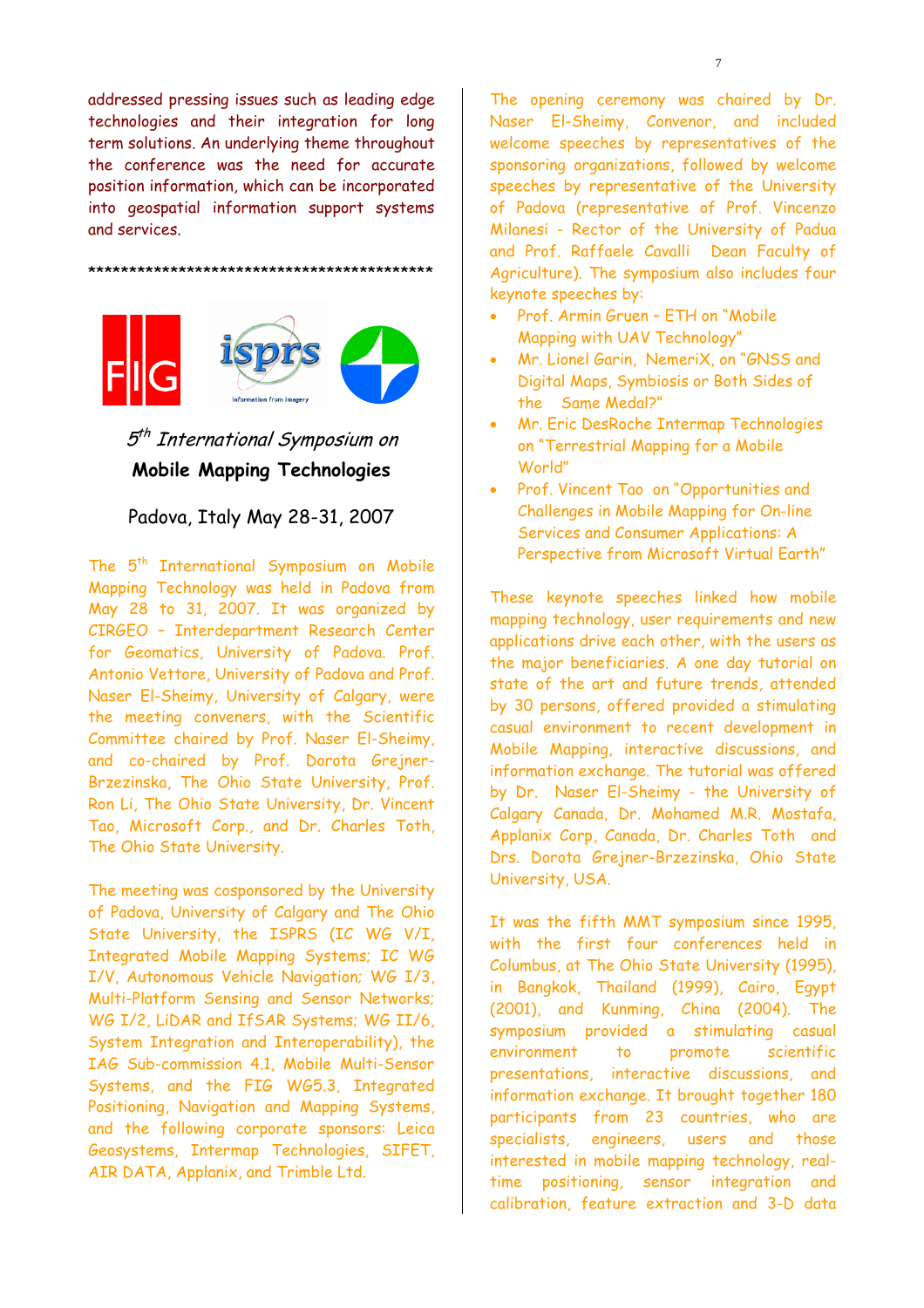addressed pressing issues such as leading edge technologies and their integration for long term solutions. An underlying theme throughout the conference was the need for accurate position information, which can be incorporated into geospatial information support systems and services.

\*\*\*\*\*\*\*\*\*\*\*\*\*\*\*\*\*\*\*\*\*\*\*\*\*\*\*\*\*\*\*\*\*\*\*\*\*\*\*\*\*\*



### 5<sup>th</sup> International Symposium on **Mobile Mapping Technologies**

#### Padova, Italy May 28-31, 2007

The 5<sup>th</sup> International Symposium on Mobile Mapping Technology was held in Padova from May 28 to 31, 2007. It was organized by CIRGEO – Interdepartment Research Center for Geomatics, University of Padova. Prof. Antonio Vettore, University of Padova and Prof. Naser El-Sheimy, University of Calgary, were the meeting conveners, with the Scientific Committee chaired by Prof. Naser El-Sheimy, and co-chaired by Prof. Dorota Grejner-Brzezinska, The Ohio State University, Prof. Ron Li, The Ohio State University, Dr. Vincent Tao, Microsoft Corp., and Dr. Charles Toth, The Ohio State University.

The meeting was cosponsored by the University of Padova, University of Calgary and The Ohio State University, the ISPRS (IC WG V/I, Integrated Mobile Mapping Systems; IC WG I/V, Autonomous Vehicle Navigation; WG I/3, Multi-Platform Sensing and Sensor Networks; WG I/2, LiDAR and IfSAR Systems; WG II/6, System Integration and Interoperability), the IAG Sub-commission 4.1, Mobile Multi-Sensor Systems, and the FIG WG5.3, Integrated Positioning, Navigation and Mapping Systems, and the following corporate sponsors: Leica Geosystems, Intermap Technologies, SIFET, AIR DATA, Applanix, and Trimble Ltd.

The opening ceremony was chaired by Dr. Naser El-Sheimy, Convenor, and included welcome speeches by representatives of the sponsoring organizations, followed by welcome speeches by representative of the University of Padova (representative of Prof. Vincenzo Milanesi - Rector of the University of Padua and Prof. Raffaele Cavalli Dean Faculty of Agriculture). The symposium also includes four keynote speeches by:

- Prof. Armin Gruen ETH on "Mobile Mapping with UAV Technology"
- Mr. Lionel Garin, NemeriX, on "GNSS and Digital Maps, Symbiosis or Both Sides of the Same Medal?"
- Mr. Eric DesRoche Intermap Technologies on "Terrestrial Mapping for a Mobile World"
- Prof. Vincent Tao on "Opportunities and Challenges in Mobile Mapping for On-line Services and Consumer Applications: A Perspective from Microsoft Virtual Earth"

These keynote speeches linked how mobile mapping technology, user requirements and new applications drive each other, with the users as the major beneficiaries. A one day tutorial on state of the art and future trends, attended by 30 persons, offered provided a stimulating casual environment to recent development in Mobile Mapping, interactive discussions, and information exchange. The tutorial was offered by Dr. Naser El-Sheimy - the University of Calgary Canada, Dr. Mohamed M.R. Mostafa, Applanix Corp, Canada, Dr. Charles Toth and Drs. Dorota Grejner-Brzezinska, Ohio State University, USA.

It was the fifth MMT symposium since 1995, with the first four conferences held in Columbus, at The Ohio State University (1995), in Bangkok, Thailand (1999), Cairo, Egypt (2001), and Kunming, China (2004). The symposium provided a stimulating casual environment to promote scientific presentations, interactive discussions, and information exchange. It brought together 180 participants from 23 countries, who are specialists, engineers, users and those interested in mobile mapping technology, realtime positioning, sensor integration and calibration, feature extraction and 3-D data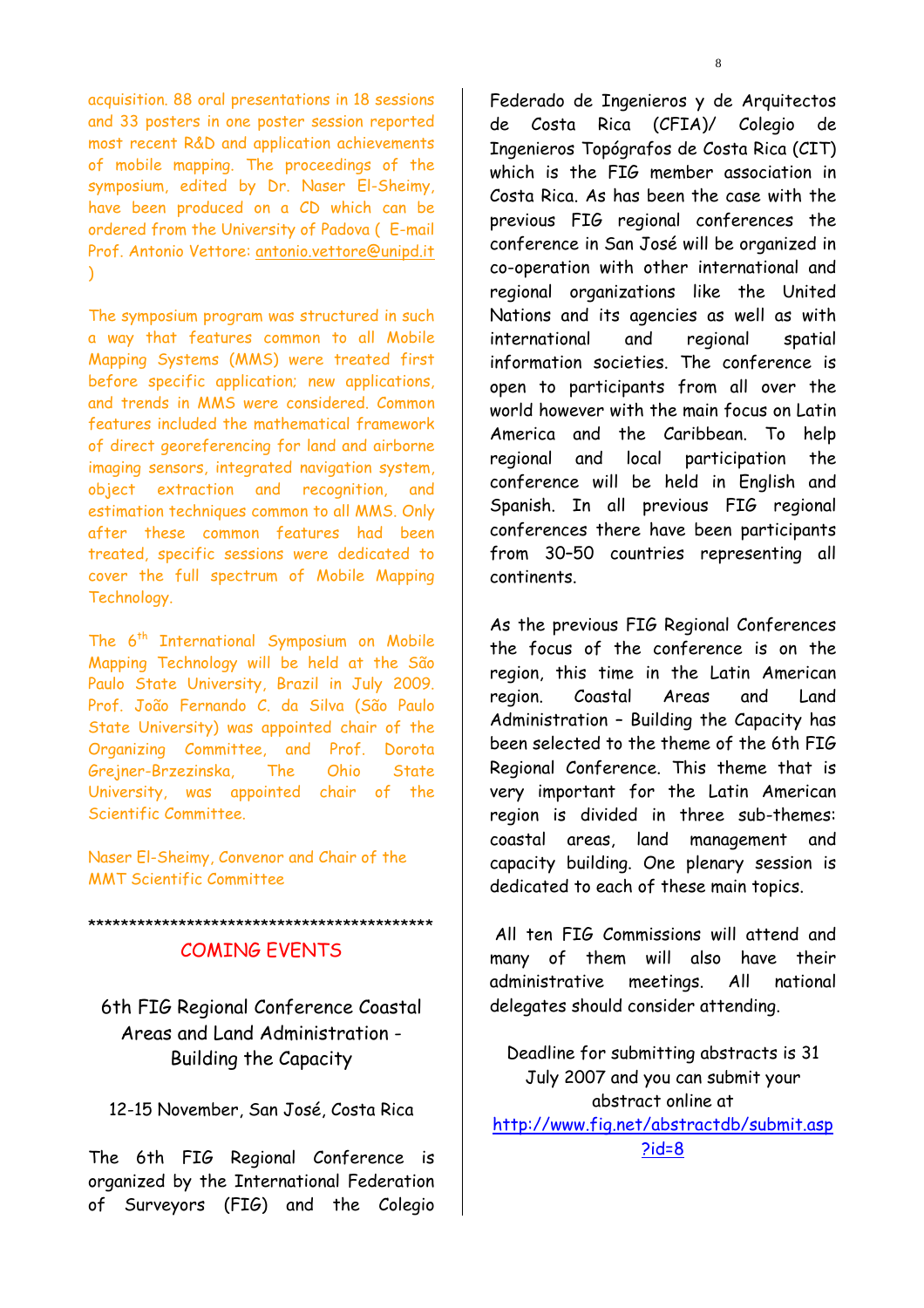acquisition. 88 oral presentations in 18 sessions and 33 posters in one poster session reported most recent R&D and application achievements of mobile mapping. The proceedings of the symposium, edited by Dr. Naser El-Sheimy, have been produced on a CD which can be ordered from the University of Padova ( E-mail Prof. Antonio Vettore: antonio.vettore@unipd.it  $\lambda$ 

The symposium program was structured in such a way that features common to all Mobile Mapping Systems (MMS) were treated first before specific application; new applications, and trends in MMS were considered. Common features included the mathematical framework of direct georeferencing for land and airborne imaging sensors, integrated navigation system, object extraction and recognition, and estimation techniques common to all MMS. Only after these common features had been treated, specific sessions were dedicated to cover the full spectrum of Mobile Mapping Technology.

The 6<sup>th</sup> International Symposium on Mobile Mapping Technology will be held at the São Paulo State University, Brazil in July 2009. Prof. João Fernando C. da Silva (São Paulo State University) was appointed chair of the Organizing Committee, and Prof. Dorota Grejner-Brzezinska, The Ohio State University, was appointed chair of the Scientific Committee.

Naser El-Sheimy, Convenor and Chair of the MMT Scientific Committee

\*\*\*\*\*\*\*\*\*\*\*\*\*\*\*\*\*\*\*\*\*\*\*\*\*\*\*\*\*\*\*\*\*\*\*\*\*\*\*\*\*\*

#### COMING EVENTS

6th FIG Regional Conference Coastal Areas and Land Administration - Building the Capacity

12-15 November, San José, Costa Rica

The 6th FIG Regional Conference is organized by the International Federation of Surveyors (FIG) and the Colegio

Federado de Ingenieros y de Arquitectos de Costa Rica (CFIA)/ Colegio de Ingenieros Topógrafos de Costa Rica (CIT) which is the FIG member association in Costa Rica. As has been the case with the previous FIG regional conferences the conference in San José will be organized in co-operation with other international and regional organizations like the United Nations and its agencies as well as with international and regional spatial information societies. The conference is open to participants from all over the world however with the main focus on Latin America and the Caribbean. To help regional and local participation the conference will be held in English and Spanish. In all previous FIG regional conferences there have been participants from 30–50 countries representing all continents.

As the previous FIG Regional Conferences the focus of the conference is on the region, this time in the Latin American region. Coastal Areas and Land Administration – Building the Capacity has been selected to the theme of the 6th FIG Regional Conference. This theme that is very important for the Latin American region is divided in three sub-themes: coastal areas, land management and capacity building. One plenary session is dedicated to each of these main topics.

 All ten FIG Commissions will attend and many of them will also have their administrative meetings. All national delegates should consider attending.

Deadline for submitting abstracts is 31 July 2007 and you can submit your abstract online at http://www.fig.net/abstractdb/submit.asp  $2id=8$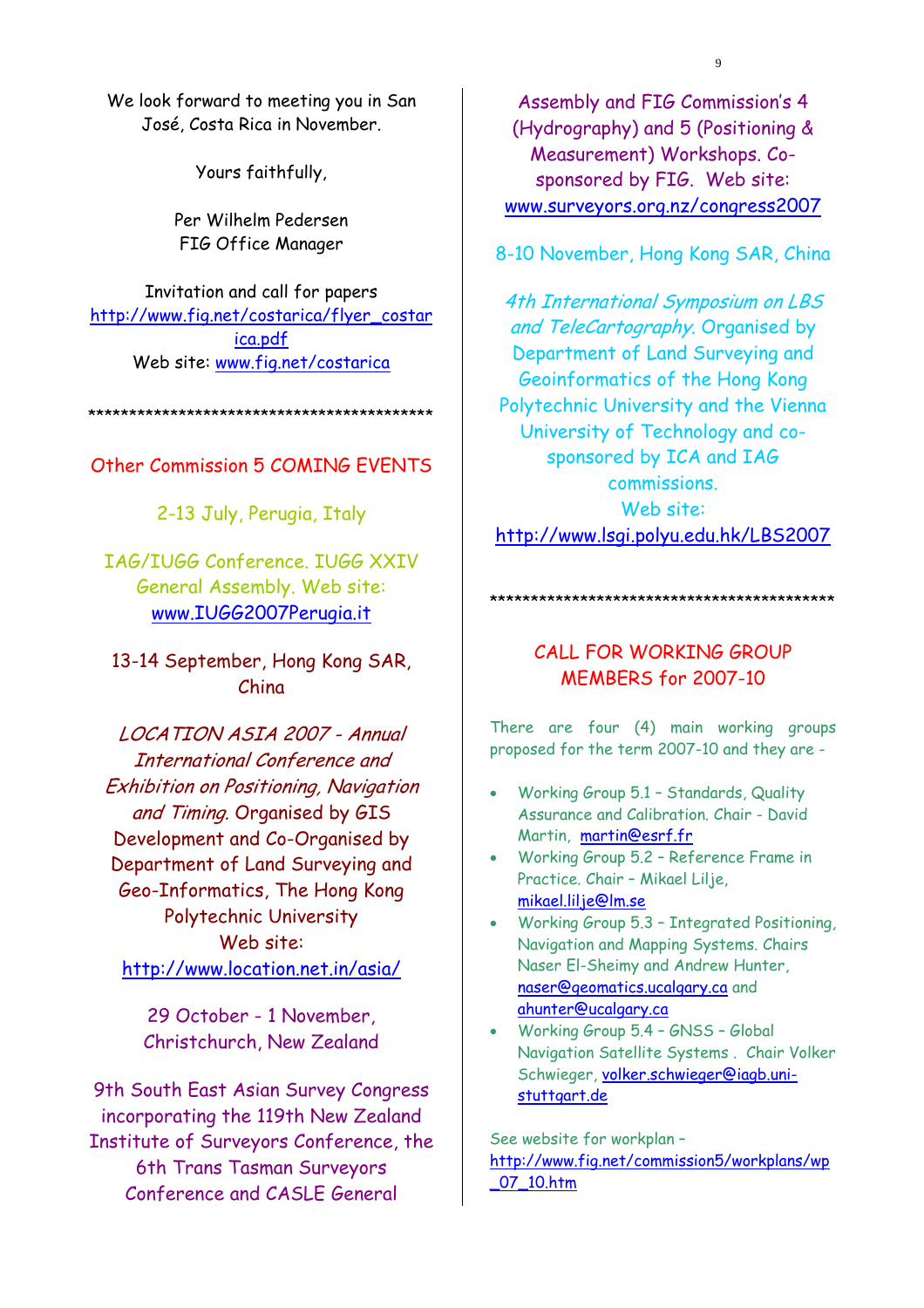We look forward to meeting you in San José, Costa Rica in November.

Yours faithfully,

Per Wilhelm Pedersen FIG Office Manager

Invitation and call for papers http://www.fig.net/costarica/flyer\_costar ica.pdf Web site: www.fig.net/costarica

\*\*\*\*\*\*\*\*\*\*\*\*\*\*\*\*\*\*\*\*\*\*\*\*\*\*\*\*\*\*\*\*\*\*\*\*\*\*\*\*\*\*

#### Other Commission 5 COMING EVENTS

2-13 July, Perugia, Italy

IAG/IUGG Conference. IUGG XXIV General Assembly. Web site: www.IUGG2007Perugia.it

13-14 September, Hong Kong SAR, China

LOCATION ASIA 2007 - Annual International Conference and Exhibition on Positioning, Navigation and Timing. Organised by GIS Development and Co-Organised by Department of Land Surveying and Geo-Informatics, The Hong Kong Polytechnic University Web site: http://www.location.net.in/asia/

> 29 October - 1 November, Christchurch, New Zealand

9th South East Asian Survey Congress incorporating the 119th New Zealand Institute of Surveyors Conference, the 6th Trans Tasman Surveyors Conference and CASLE General

Assembly and FIG Commission's 4 (Hydrography) and 5 (Positioning & Measurement) Workshops. Cosponsored by FIG. Web site: www.surveyors.org.nz/congress2007

8-10 November, Hong Kong SAR, China

4th International Symposium on LBS and TeleCartography. Organised by Department of Land Surveying and Geoinformatics of the Hong Kong Polytechnic University and the Vienna University of Technology and cosponsored by ICA and IAG commissions. Web site: http://www.lsgi.polyu.edu.hk/LBS2007

## \*\*\*\*\*\*\*\*\*\*\*\*\*\*\*\*\*\*\*\*\*\*\*\*\*\*\*\*\*\*\*\*\*\*\*\*\*\*\*\*\*\*

### CALL FOR WORKING GROUP MEMBERS for 2007-10

There are four (4) main working groups proposed for the term 2007-10 and they are -

- Working Group 5.1 Standards, Quality Assurance and Calibration. Chair - David Martin, martin@esrf.fr
- Working Group 5.2 Reference Frame in Practice. Chair – Mikael Lilje, mikael.lilje@lm.se
- Working Group 5.3 Integrated Positioning, Navigation and Mapping Systems. Chairs Naser El-Sheimy and Andrew Hunter, naser@geomatics.ucalgary.ca and ahunter@ucalgary.ca
- Working Group 5.4 GNSS Global Navigation Satellite Systems . Chair Volker Schwieger, volker.schwieger@iagb.unistuttgart.de

See website for workplan – http://www.fig.net/commission5/workplans/wp \_07\_10.htm